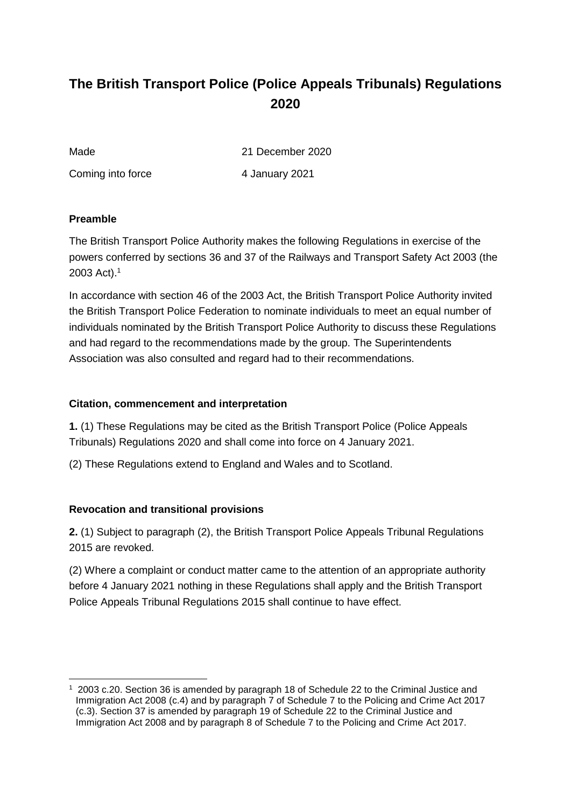# **The British Transport Police (Police Appeals Tribunals) Regulations 2020**

Made 2020

Coming into force 4 January 2021

#### **Preamble**

The British Transport Police Authority makes the following Regulations in exercise of the powers conferred by sections 36 and 37 of the Railways and Transport Safety Act 2003 (the 2003 Act).<sup>1</sup>

In accordance with section 46 of the 2003 Act, the British Transport Police Authority invited the British Transport Police Federation to nominate individuals to meet an equal number of individuals nominated by the British Transport Police Authority to discuss these Regulations and had regard to the recommendations made by the group. The Superintendents Association was also consulted and regard had to their recommendations.

#### **Citation, commencement and interpretation**

**1.** (1) These Regulations may be cited as the British Transport Police (Police Appeals Tribunals) Regulations 2020 and shall come into force on 4 January 2021.

(2) These Regulations extend to England and Wales and to Scotland.

#### **Revocation and transitional provisions**

**2.** (1) Subject to paragraph (2), the British Transport Police Appeals Tribunal Regulations 2015 are revoked.

(2) Where a complaint or conduct matter came to the attention of an appropriate authority before 4 January 2021 nothing in these Regulations shall apply and the British Transport Police Appeals Tribunal Regulations 2015 shall continue to have effect.

<sup>-</sup><sup>1</sup> 2003 c.20. Section 36 is amended by paragraph 18 of Schedule 22 to the Criminal Justice and Immigration Act 2008 (c.4) and by paragraph 7 of Schedule 7 to the Policing and Crime Act 2017 (c.3). Section 37 is amended by paragraph 19 of Schedule 22 to the Criminal Justice and Immigration Act 2008 and by paragraph 8 of Schedule 7 to the Policing and Crime Act 2017.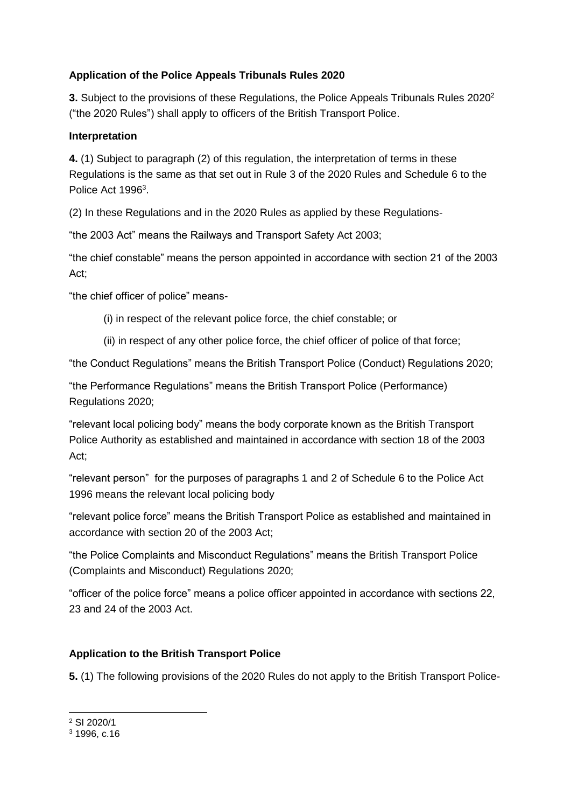## **Application of the Police Appeals Tribunals Rules 2020**

**3.** Subject to the provisions of these Regulations, the Police Appeals Tribunals Rules 2020<sup>2</sup> ("the 2020 Rules") shall apply to officers of the British Transport Police.

#### **Interpretation**

**4.** (1) Subject to paragraph (2) of this regulation, the interpretation of terms in these Regulations is the same as that set out in Rule 3 of the 2020 Rules and Schedule 6 to the Police Act 1996<sup>3</sup>.

(2) In these Regulations and in the 2020 Rules as applied by these Regulations-

"the 2003 Act" means the Railways and Transport Safety Act 2003;

"the chief constable" means the person appointed in accordance with section 21 of the 2003 Act;

"the chief officer of police" means-

- (i) in respect of the relevant police force, the chief constable; or
- (ii) in respect of any other police force, the chief officer of police of that force;

"the Conduct Regulations" means the British Transport Police (Conduct) Regulations 2020;

"the Performance Regulations" means the British Transport Police (Performance) Regulations 2020;

"relevant local policing body" means the body corporate known as the British Transport Police Authority as established and maintained in accordance with section 18 of the 2003 Act;

"relevant person" for the purposes of paragraphs 1 and 2 of Schedule 6 to the Police Act 1996 means the relevant local policing body

"relevant police force" means the British Transport Police as established and maintained in accordance with section 20 of the 2003 Act;

"the Police Complaints and Misconduct Regulations" means the British Transport Police (Complaints and Misconduct) Regulations 2020;

"officer of the police force" means a police officer appointed in accordance with sections 22, 23 and 24 of the 2003 Act.

# **Application to the British Transport Police**

**5.** (1) The following provisions of the 2020 Rules do not apply to the British Transport Police-

-

<sup>2</sup> SI 2020/1

<sup>3</sup> 1996, c.16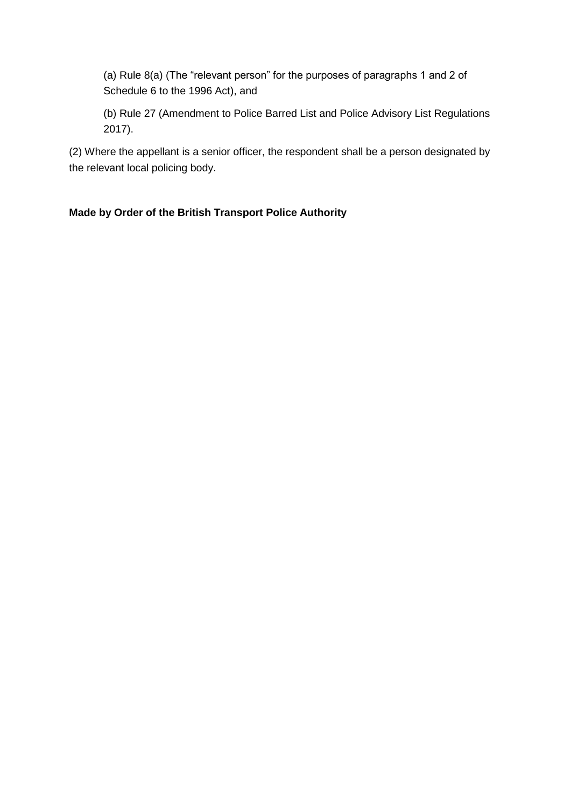(a) Rule 8(a) (The "relevant person" for the purposes of paragraphs 1 and 2 of Schedule 6 to the 1996 Act), and

(b) Rule 27 (Amendment to Police Barred List and Police Advisory List Regulations 2017).

(2) Where the appellant is a senior officer, the respondent shall be a person designated by the relevant local policing body.

## **Made by Order of the British Transport Police Authority**